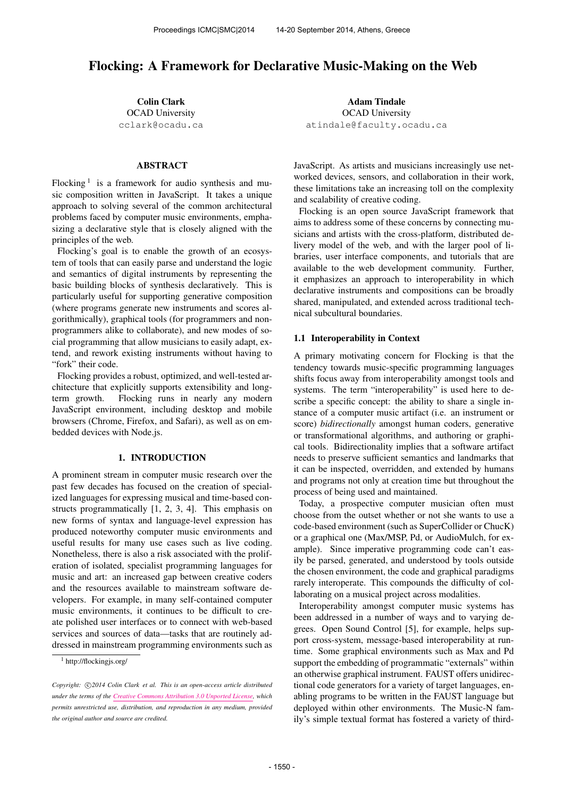# Flocking: A Framework for Declarative Music-Making on the Web

Colin Clark OCAD University [cclark@ocadu.ca](mailto:cclark@ocadu.ca)

## ABSTRACT

Flocking<sup>1</sup> is a framework for audio synthesis and music composition written in JavaScript. It takes a unique approach to solving several of the common architectural problems faced by computer music environments, emphasizing a declarative style that is closely aligned with the principles of the web.

Flocking's goal is to enable the growth of an ecosystem of tools that can easily parse and understand the logic and semantics of digital instruments by representing the basic building blocks of synthesis declaratively. This is particularly useful for supporting generative composition (where programs generate new instruments and scores algorithmically), graphical tools (for programmers and nonprogrammers alike to collaborate), and new modes of social programming that allow musicians to easily adapt, extend, and rework existing instruments without having to "fork" their code.

Flocking provides a robust, optimized, and well-tested architecture that explicitly supports extensibility and longterm growth. Flocking runs in nearly any modern JavaScript environment, including desktop and mobile browsers (Chrome, Firefox, and Safari), as well as on embedded devices with Node.js.

### 1. INTRODUCTION

A prominent stream in computer music research over the past few decades has focused on the creation of specialized languages for expressing musical and time-based constructs programmatically [1, 2, 3, 4]. This emphasis on new forms of syntax and language-level expression has produced noteworthy computer music environments and useful results for many use cases such as live coding. Nonetheless, there is also a risk associated with the proliferation of isolated, specialist programming languages for music and art: an increased gap between creative coders and the resources available to mainstream software developers. For example, in many self-contained computer music environments, it continues to be difficult to create polished user interfaces or to connect with web-based services and sources of data—tasks that are routinely addressed in mainstream programming environments such as

Adam Tindale OCAD University [atindale@faculty.ocadu.ca](mailto:atindale@faculty.ocadu.ca)

JavaScript. As artists and musicians increasingly use networked devices, sensors, and collaboration in their work, these limitations take an increasing toll on the complexity and scalability of creative coding.

Flocking is an open source JavaScript framework that aims to address some of these concerns by connecting musicians and artists with the cross-platform, distributed delivery model of the web, and with the larger pool of libraries, user interface components, and tutorials that are available to the web development community. Further, it emphasizes an approach to interoperability in which declarative instruments and compositions can be broadly shared, manipulated, and extended across traditional technical subcultural boundaries.

## 1.1 Interoperability in Context

A primary motivating concern for Flocking is that the tendency towards music-specific programming languages shifts focus away from interoperability amongst tools and systems. The term "interoperability" is used here to describe a specific concept: the ability to share a single instance of a computer music artifact (i.e. an instrument or score) *bidirectionally* amongst human coders, generative or transformational algorithms, and authoring or graphical tools. Bidirectionality implies that a software artifact needs to preserve sufficient semantics and landmarks that it can be inspected, overridden, and extended by humans and programs not only at creation time but throughout the process of being used and maintained.

Today, a prospective computer musician often must choose from the outset whether or not she wants to use a code-based environment (such as SuperCollider or ChucK) or a graphical one (Max/MSP, Pd, or AudioMulch, for example). Since imperative programming code can't easily be parsed, generated, and understood by tools outside the chosen environment, the code and graphical paradigms rarely interoperate. This compounds the difficulty of collaborating on a musical project across modalities.

Interoperability amongst computer music systems has been addressed in a number of ways and to varying degrees. Open Sound Control [5], for example, helps support cross-system, message-based interoperability at runtime. Some graphical environments such as Max and Pd support the embedding of programmatic "externals" within an otherwise graphical instrument. FAUST offers unidirectional code generators for a variety of target languages, enabling programs to be written in the FAUST language but deployed within other environments. The Music-N family's simple textual format has fostered a variety of third-

<sup>1</sup> http://flockingjs.org/

Copyright:  $\bigcirc$ 2014 Colin Clark et al. This is an open-access article distributed *under the terms of the [Creative Commons Attribution 3.0 Unported License,](http://creativecommons.org/licenses/by/3.0/) which permits unrestricted use, distribution, and reproduction in any medium, provided the original author and source are credited.*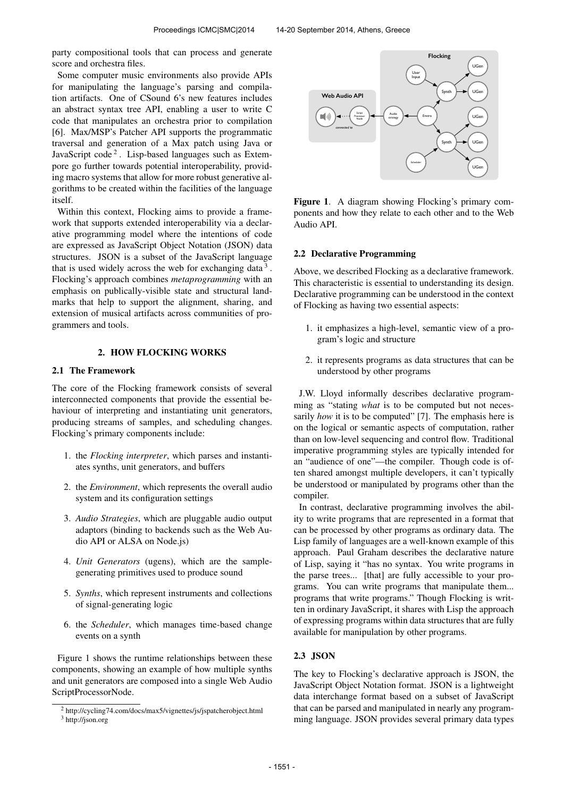party compositional tools that can process and generate score and orchestra files.

Some computer music environments also provide APIs for manipulating the language's parsing and compilation artifacts. One of CSound 6's new features includes an abstract syntax tree API, enabling a user to write C code that manipulates an orchestra prior to compilation [6]. Max/MSP's Patcher API supports the programmatic traversal and generation of a Max patch using Java or JavaScript code<sup>2</sup>. Lisp-based languages such as Extempore go further towards potential interoperability, providing macro systems that allow for more robust generative algorithms to be created within the facilities of the language itself.

Within this context, Flocking aims to provide a framework that supports extended interoperability via a declarative programming model where the intentions of code are expressed as JavaScript Object Notation (JSON) data structures. JSON is a subset of the JavaScript language that is used widely across the web for exchanging data  $3$ . Flocking's approach combines *metaprogramming* with an emphasis on publically-visible state and structural landmarks that help to support the alignment, sharing, and extension of musical artifacts across communities of programmers and tools.

#### 2. HOW FLOCKING WORKS

## 2.1 The Framework

The core of the Flocking framework consists of several interconnected components that provide the essential behaviour of interpreting and instantiating unit generators, producing streams of samples, and scheduling changes. Flocking's primary components include:

- 1. the *Flocking interpreter*, which parses and instantiates synths, unit generators, and buffers
- 2. the *Environment*, which represents the overall audio system and its configuration settings
- 3. *Audio Strategies*, which are pluggable audio output adaptors (binding to backends such as the Web Audio API or ALSA on Node.js)
- 4. *Unit Generators* (ugens), which are the samplegenerating primitives used to produce sound
- 5. *Synths*, which represent instruments and collections of signal-generating logic
- 6. the *Scheduler*, which manages time-based change events on a synth

Figure 1 shows the runtime relationships between these components, showing an example of how multiple synths and unit generators are composed into a single Web Audio ScriptProcessorNode.



Figure 1. A diagram showing Flocking's primary components and how they relate to each other and to the Web Audio API.

## 2.2 Declarative Programming

Above, we described Flocking as a declarative framework. This characteristic is essential to understanding its design. Declarative programming can be understood in the context of Flocking as having two essential aspects:

- 1. it emphasizes a high-level, semantic view of a program's logic and structure
- 2. it represents programs as data structures that can be understood by other programs

J.W. Lloyd informally describes declarative programming as "stating *what* is to be computed but not necessarily *how* it is to be computed" [7]. The emphasis here is on the logical or semantic aspects of computation, rather than on low-level sequencing and control flow. Traditional imperative programming styles are typically intended for an "audience of one"—the compiler. Though code is often shared amongst multiple developers, it can't typically be understood or manipulated by programs other than the compiler.

In contrast, declarative programming involves the ability to write programs that are represented in a format that can be processed by other programs as ordinary data. The Lisp family of languages are a well-known example of this approach. Paul Graham describes the declarative nature of Lisp, saying it "has no syntax. You write programs in the parse trees... [that] are fully accessible to your programs. You can write programs that manipulate them... programs that write programs." Though Flocking is written in ordinary JavaScript, it shares with Lisp the approach of expressing programs within data structures that are fully available for manipulation by other programs.

# 2.3 JSON

The key to Flocking's declarative approach is JSON, the JavaScript Object Notation format. JSON is a lightweight data interchange format based on a subset of JavaScript that can be parsed and manipulated in nearly any programming language. JSON provides several primary data types

<sup>2</sup> http://cycling74.com/docs/max5/vignettes/js/jspatcherobject.html <sup>3</sup> http://json.org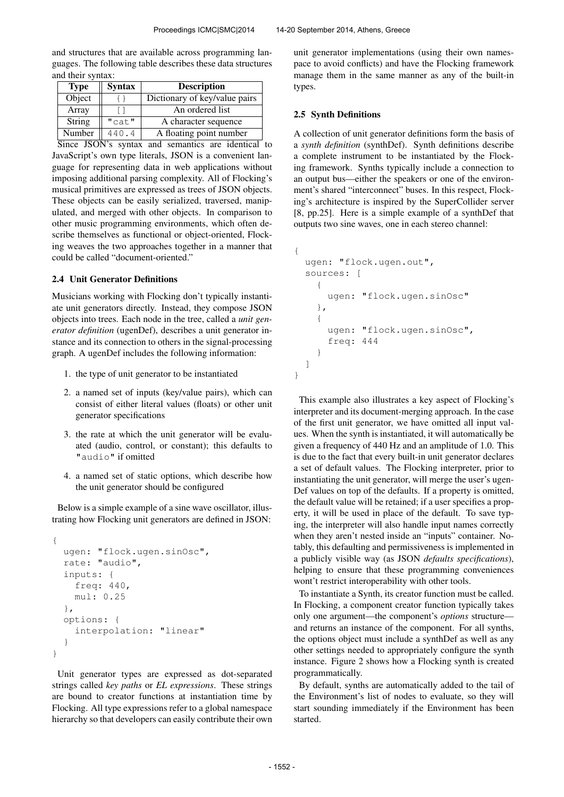and structures that are available across programming languages. The following table describes these data structures and their syntax:

| <b>Type</b> | <b>Syntax</b> | <b>Description</b>            |
|-------------|---------------|-------------------------------|
| Object      |               | Dictionary of key/value pairs |
| Array       |               | An ordered list               |
| String      | "cat"         | A character sequence          |
| Number      | 440.4         | A floating point number       |

Since JSON's syntax and semantics are identical to JavaScript's own type literals, JSON is a convenient language for representing data in web applications without imposing additional parsing complexity. All of Flocking's musical primitives are expressed as trees of JSON objects. These objects can be easily serialized, traversed, manipulated, and merged with other objects. In comparison to other music programming environments, which often describe themselves as functional or object-oriented, Flocking weaves the two approaches together in a manner that could be called "document-oriented."

#### 2.4 Unit Generator Definitions

Musicians working with Flocking don't typically instantiate unit generators directly. Instead, they compose JSON objects into trees. Each node in the tree, called a *unit generator definition* (ugenDef), describes a unit generator instance and its connection to others in the signal-processing graph. A ugenDef includes the following information:

- 1. the type of unit generator to be instantiated
- 2. a named set of inputs (key/value pairs), which can consist of either literal values (floats) or other unit generator specifications
- 3. the rate at which the unit generator will be evaluated (audio, control, or constant); this defaults to "audio" if omitted
- 4. a named set of static options, which describe how the unit generator should be configured

Below is a simple example of a sine wave oscillator, illustrating how Flocking unit generators are defined in JSON:

```
{
 ugen: "flock.ugen.sinOsc",
  rate: "audio",
  inputs: {
    freq: 440,
    mul: 0.25
  },
  options: {
    interpolation: "linear"
  }
}
```
Unit generator types are expressed as dot-separated strings called *key paths* or *EL expressions*. These strings are bound to creator functions at instantiation time by Flocking. All type expressions refer to a global namespace hierarchy so that developers can easily contribute their own unit generator implementations (using their own namespace to avoid conflicts) and have the Flocking framework manage them in the same manner as any of the built-in types.

#### 2.5 Synth Definitions

A collection of unit generator definitions form the basis of a *synth definition* (synthDef). Synth definitions describe a complete instrument to be instantiated by the Flocking framework. Synths typically include a connection to an output bus—either the speakers or one of the environment's shared "interconnect" buses. In this respect, Flocking's architecture is inspired by the SuperCollider server [8, pp.25]. Here is a simple example of a synthDef that outputs two sine waves, one in each stereo channel:

```
{
  ugen: "flock.ugen.out",
  sources: [
    {
      ugen: "flock.ugen.sinOsc"
    },
    {
      ugen: "flock.ugen.sinOsc",
      freq: 444
    }
  ]
}
```
This example also illustrates a key aspect of Flocking's interpreter and its document-merging approach. In the case of the first unit generator, we have omitted all input values. When the synth is instantiated, it will automatically be given a frequency of 440 Hz and an amplitude of 1.0. This is due to the fact that every built-in unit generator declares a set of default values. The Flocking interpreter, prior to instantiating the unit generator, will merge the user's ugen-Def values on top of the defaults. If a property is omitted, the default value will be retained; if a user specifies a property, it will be used in place of the default. To save typing, the interpreter will also handle input names correctly when they aren't nested inside an "inputs" container. Notably, this defaulting and permissiveness is implemented in a publicly visible way (as JSON *defaults specifications*), helping to ensure that these programming conveniences wont't restrict interoperability with other tools.

To instantiate a Synth, its creator function must be called. In Flocking, a component creator function typically takes only one argument—the component's *options* structure and returns an instance of the component. For all synths, the options object must include a synthDef as well as any other settings needed to appropriately configure the synth instance. Figure 2 shows how a Flocking synth is created programmatically.

By default, synths are automatically added to the tail of the Environment's list of nodes to evaluate, so they will start sounding immediately if the Environment has been started.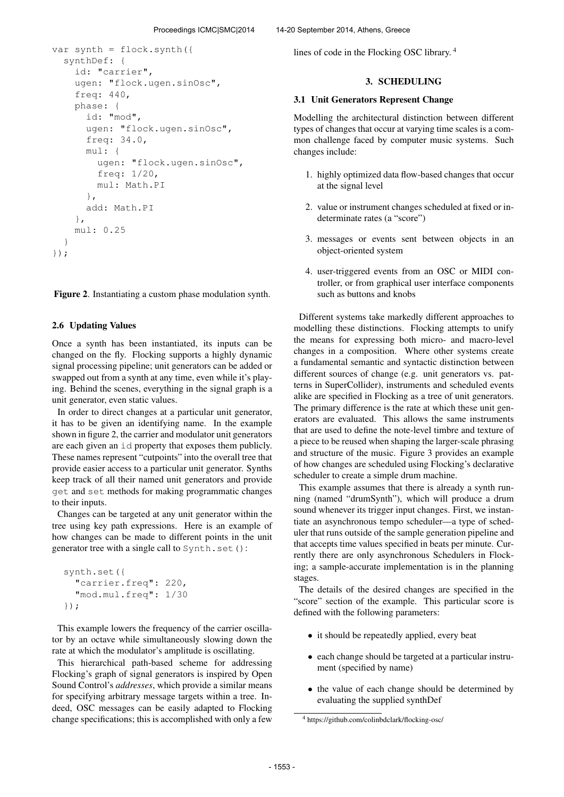```
var synth = flock.synth({
  synthDef: {
    id: "carrier",
    ugen: "flock.ugen.sinOsc",
    freq: 440,
    phase: {
      id: "mod",
      ugen: "flock.ugen.sinOsc",
      freq: 34.0,
      mul: {
        ugen: "flock.ugen.sinOsc",
        freq: 1/20,
        mul: Math.PI
      },
      add: Math.PI
    },
    mul: 0.25
  }
});
```
Figure 2. Instantiating a custom phase modulation synth.

## 2.6 Updating Values

Once a synth has been instantiated, its inputs can be changed on the fly. Flocking supports a highly dynamic signal processing pipeline; unit generators can be added or swapped out from a synth at any time, even while it's playing. Behind the scenes, everything in the signal graph is a unit generator, even static values.

In order to direct changes at a particular unit generator, it has to be given an identifying name. In the example shown in figure 2, the carrier and modulator unit generators are each given an id property that exposes them publicly. These names represent "cutpoints" into the overall tree that provide easier access to a particular unit generator. Synths keep track of all their named unit generators and provide get and set methods for making programmatic changes to their inputs.

Changes can be targeted at any unit generator within the tree using key path expressions. Here is an example of how changes can be made to different points in the unit generator tree with a single call to Synth.set():

```
synth.set({
  "carrier.freq": 220,
  "mod.mul.freq": 1/30
});
```
This example lowers the frequency of the carrier oscillator by an octave while simultaneously slowing down the rate at which the modulator's amplitude is oscillating.

This hierarchical path-based scheme for addressing Flocking's graph of signal generators is inspired by Open Sound Control's *addresses*, which provide a similar means for specifying arbitrary message targets within a tree. Indeed, OSC messages can be easily adapted to Flocking change specifications; this is accomplished with only a few lines of code in the Flocking OSC library. <sup>4</sup>

## 3. SCHEDULING

#### 3.1 Unit Generators Represent Change

Modelling the architectural distinction between different types of changes that occur at varying time scales is a common challenge faced by computer music systems. Such changes include:

- 1. highly optimized data flow-based changes that occur at the signal level
- 2. value or instrument changes scheduled at fixed or indeterminate rates (a "score")
- 3. messages or events sent between objects in an object-oriented system
- 4. user-triggered events from an OSC or MIDI controller, or from graphical user interface components such as buttons and knobs

Different systems take markedly different approaches to modelling these distinctions. Flocking attempts to unify the means for expressing both micro- and macro-level changes in a composition. Where other systems create a fundamental semantic and syntactic distinction between different sources of change (e.g. unit generators vs. patterns in SuperCollider), instruments and scheduled events alike are specified in Flocking as a tree of unit generators. The primary difference is the rate at which these unit generators are evaluated. This allows the same instruments that are used to define the note-level timbre and texture of a piece to be reused when shaping the larger-scale phrasing and structure of the music. Figure 3 provides an example of how changes are scheduled using Flocking's declarative scheduler to create a simple drum machine.

This example assumes that there is already a synth running (named "drumSynth"), which will produce a drum sound whenever its trigger input changes. First, we instantiate an asynchronous tempo scheduler—a type of scheduler that runs outside of the sample generation pipeline and that accepts time values specified in beats per minute. Currently there are only asynchronous Schedulers in Flocking; a sample-accurate implementation is in the planning stages.

The details of the desired changes are specified in the "score" section of the example. This particular score is defined with the following parameters:

- it should be repeatedly applied, every beat
- each change should be targeted at a particular instrument (specified by name)
- the value of each change should be determined by evaluating the supplied synthDef

<sup>4</sup> https://github.com/colinbdclark/flocking-osc/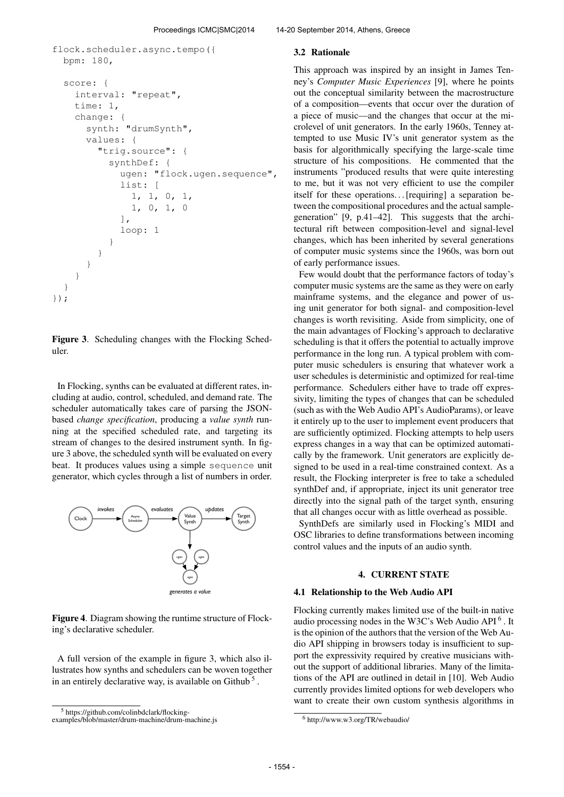```
flock.scheduler.async.tempo({
 bpm: 180,
  score: {
    interval: "repeat",
    time: 1,
    change: {
      synth: "drumSynth",
      values: {
        "trig.source": {
          synthDef: {
             ugen: "flock.ugen.sequence",
             list: [
               1, 1, 0, 1,
               1, 0, 1, 0
             ],
             loop: 1
          }
        }
      }
    }
  }
});
```
Figure 3. Scheduling changes with the Flocking Scheduler.

In Flocking, synths can be evaluated at different rates, including at audio, control, scheduled, and demand rate. The scheduler automatically takes care of parsing the JSONbased *change specification*, producing a *value synth* running at the specified scheduled rate, and targeting its stream of changes to the desired instrument synth. In figure 3 above, the scheduled synth will be evaluated on every beat. It produces values using a simple sequence unit generator, which cycles through a list of numbers in order.



Figure 4. Diagram showing the runtime structure of Flocking's declarative scheduler.

A full version of the example in figure 3, which also illustrates how synths and schedulers can be woven together in an entirely declarative way, is available on Github<sup>5</sup>.

#### Proceedings ICMC|SMC|2014 14-20 September 2014, Athens, Greece

#### 3.2 Rationale

This approach was inspired by an insight in James Tenney's *Computer Music Experiences* [9], where he points out the conceptual similarity between the macrostructure of a composition—events that occur over the duration of a piece of music—and the changes that occur at the microlevel of unit generators. In the early 1960s, Tenney attempted to use Music IV's unit generator system as the basis for algorithmically specifying the large-scale time structure of his compositions. He commented that the instruments "produced results that were quite interesting to me, but it was not very efficient to use the compiler itself for these operations... [requiring] a separation between the compositional procedures and the actual samplegeneration" [9, p.41–42]. This suggests that the architectural rift between composition-level and signal-level changes, which has been inherited by several generations of computer music systems since the 1960s, was born out of early performance issues.

Few would doubt that the performance factors of today's computer music systems are the same as they were on early mainframe systems, and the elegance and power of using unit generator for both signal- and composition-level changes is worth revisiting. Aside from simplicity, one of the main advantages of Flocking's approach to declarative scheduling is that it offers the potential to actually improve performance in the long run. A typical problem with computer music schedulers is ensuring that whatever work a user schedules is deterministic and optimized for real-time performance. Schedulers either have to trade off expressivity, limiting the types of changes that can be scheduled (such as with the Web Audio API's AudioParams), or leave it entirely up to the user to implement event producers that are sufficiently optimized. Flocking attempts to help users express changes in a way that can be optimized automatically by the framework. Unit generators are explicitly designed to be used in a real-time constrained context. As a result, the Flocking interpreter is free to take a scheduled synthDef and, if appropriate, inject its unit generator tree directly into the signal path of the target synth, ensuring that all changes occur with as little overhead as possible.

SynthDefs are similarly used in Flocking's MIDI and OSC libraries to define transformations between incoming control values and the inputs of an audio synth.

## 4. CURRENT STATE

#### 4.1 Relationship to the Web Audio API

Flocking currently makes limited use of the built-in native audio processing nodes in the W3C's Web Audio API<sup>6</sup>. It is the opinion of the authors that the version of the Web Audio API shipping in browsers today is insufficient to support the expressivity required by creative musicians without the support of additional libraries. Many of the limitations of the API are outlined in detail in [10]. Web Audio currently provides limited options for web developers who want to create their own custom synthesis algorithms in

<sup>5</sup> https://github.com/colinbdclark/flocking-

examples/blob/master/drum-machine/drum-machine.js

<sup>6</sup> http://www.w3.org/TR/webaudio/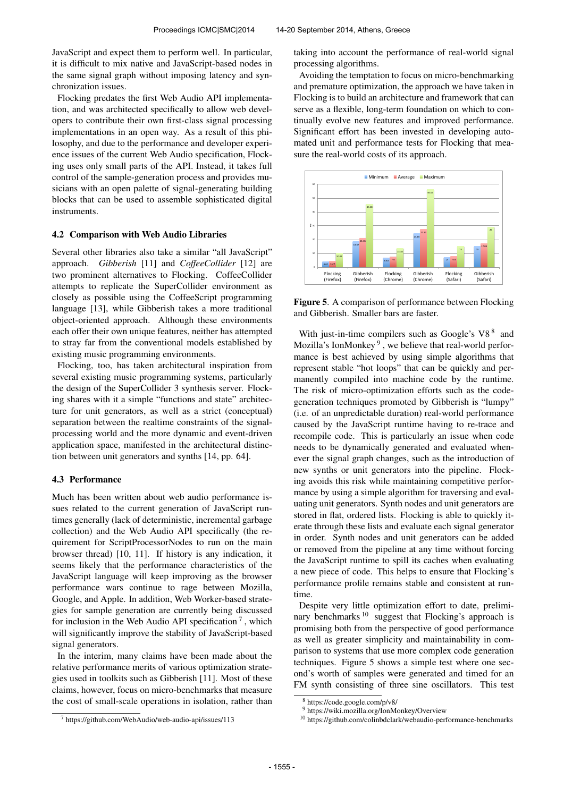JavaScript and expect them to perform well. In particular, it is difficult to mix native and JavaScript-based nodes in the same signal graph without imposing latency and synchronization issues.

Flocking predates the first Web Audio API implementation, and was architected specifically to allow web developers to contribute their own first-class signal processing implementations in an open way. As a result of this philosophy, and due to the performance and developer experience issues of the current Web Audio specification, Flocking uses only small parts of the API. Instead, it takes full control of the sample-generation process and provides musicians with an open palette of signal-generating building blocks that can be used to assemble sophisticated digital instruments.

#### 4.2 Comparison with Web Audio Libraries

Several other libraries also take a similar "all JavaScript" approach. *Gibberish* [11] and *CoffeeCollider* [12] are two prominent alternatives to Flocking. CoffeeCollider attempts to replicate the SuperCollider environment as closely as possible using the CoffeeScript programming language [13], while Gibberish takes a more traditional object-oriented approach. Although these environments each offer their own unique features, neither has attempted to stray far from the conventional models established by existing music programming environments.

Flocking, too, has taken architectural inspiration from several existing music programming systems, particularly the design of the SuperCollider 3 synthesis server. Flocking shares with it a simple "functions and state" architecture for unit generators, as well as a strict (conceptual) separation between the realtime constraints of the signalprocessing world and the more dynamic and event-driven application space, manifested in the architectural distinction between unit generators and synths [14, pp. 64].

#### 4.3 Performance

Much has been written about web audio performance issues related to the current generation of JavaScript runtimes generally (lack of deterministic, incremental garbage collection) and the Web Audio API specifically (the requirement for ScriptProcessorNodes to run on the main browser thread) [10, 11]. If history is any indication, it seems likely that the performance characteristics of the JavaScript language will keep improving as the browser performance wars continue to rage between Mozilla, Google, and Apple. In addition, Web Worker-based strategies for sample generation are currently being discussed for inclusion in the Web Audio API specification<sup>7</sup>, which will significantly improve the stability of JavaScript-based signal generators.

In the interim, many claims have been made about the relative performance merits of various optimization strategies used in toolkits such as Gibberish [11]. Most of these claims, however, focus on micro-benchmarks that measure the cost of small-scale operations in isolation, rather than taking into account the performance of real-world signal processing algorithms.

Avoiding the temptation to focus on micro-benchmarking and premature optimization, the approach we have taken in Flocking is to build an architecture and framework that can serve as a flexible, long-term foundation on which to continually evolve new features and improved performance. Significant effort has been invested in developing automated unit and performance tests for Flocking that measure the real-world costs of its approach.



Figure 5. A comparison of performance between Flocking and Gibberish. Smaller bars are faster.

With just-in-time compilers such as Google's  $V8<sup>8</sup>$  and Mozilla's IonMonkey<sup>9</sup>, we believe that real-world performance is best achieved by using simple algorithms that represent stable "hot loops" that can be quickly and permanently compiled into machine code by the runtime. The risk of micro-optimization efforts such as the codegeneration techniques promoted by Gibberish is "lumpy" (i.e. of an unpredictable duration) real-world performance caused by the JavaScript runtime having to re-trace and recompile code. This is particularly an issue when code needs to be dynamically generated and evaluated whenever the signal graph changes, such as the introduction of new synths or unit generators into the pipeline. Flocking avoids this risk while maintaining competitive performance by using a simple algorithm for traversing and evaluating unit generators. Synth nodes and unit generators are stored in flat, ordered lists. Flocking is able to quickly iterate through these lists and evaluate each signal generator in order. Synth nodes and unit generators can be added or removed from the pipeline at any time without forcing the JavaScript runtime to spill its caches when evaluating a new piece of code. This helps to ensure that Flocking's performance profile remains stable and consistent at runtime.

Despite very little optimization effort to date, preliminary benchmarks<sup>10</sup> suggest that Flocking's approach is promising both from the perspective of good performance as well as greater simplicity and maintainability in comparison to systems that use more complex code generation techniques. Figure 5 shows a simple test where one second's worth of samples were generated and timed for an FM synth consisting of three sine oscillators. This test

<sup>7</sup> https://github.com/WebAudio/web-audio-api/issues/113

<sup>8</sup> https://code.google.com/p/v8/

<sup>9</sup> https://wiki.mozilla.org/IonMonkey/Overview

<sup>10</sup> https://github.com/colinbdclark/webaudio-performance-benchmarks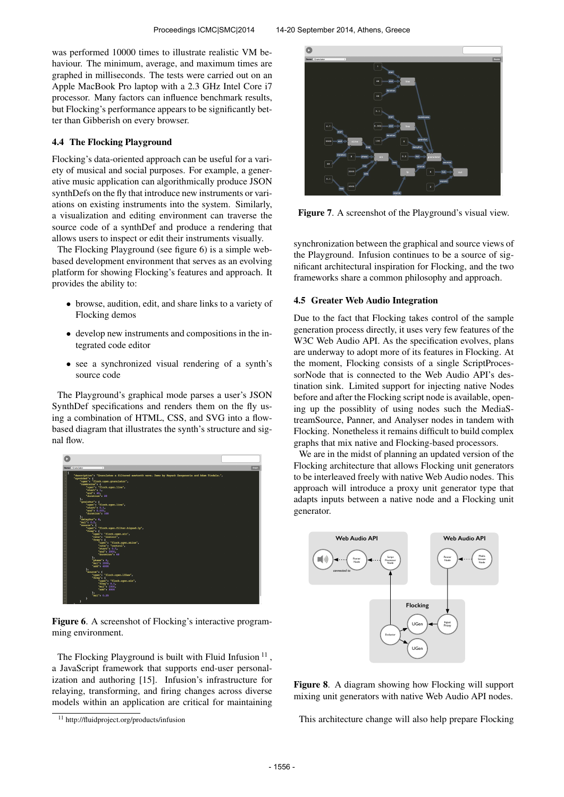was performed 10000 times to illustrate realistic VM behaviour. The minimum, average, and maximum times are graphed in milliseconds. The tests were carried out on an Apple MacBook Pro laptop with a 2.3 GHz Intel Core i7 processor. Many factors can influence benchmark results, but Flocking's performance appears to be significantly better than Gibberish on every browser.

#### 4.4 The Flocking Playground

Flocking's data-oriented approach can be useful for a variety of musical and social purposes. For example, a generative music application can algorithmically produce JSON synthDefs on the fly that introduce new instruments or variations on existing instruments into the system. Similarly, a visualization and editing environment can traverse the source code of a synthDef and produce a rendering that allows users to inspect or edit their instruments visually.

The Flocking Playground (see figure 6) is a simple webbased development environment that serves as an evolving platform for showing Flocking's features and approach. It provides the ability to:

- browse, audition, edit, and share links to a variety of Flocking demos
- develop new instruments and compositions in the integrated code editor
- see a synchronized visual rendering of a synth's source code

The Playground's graphical mode parses a user's JSON SynthDef specifications and renders them on the fly using a combination of HTML, CSS, and SVG into a flowbased diagram that illustrates the synth's structure and signal flow.



Figure 6. A screenshot of Flocking's interactive programming environment.

The Flocking Playground is built with Fluid Infusion  $11$ , a JavaScript framework that supports end-user personalization and authoring [15]. Infusion's infrastructure for relaying, transforming, and firing changes across diverse models within an application are critical for maintaining



Figure 7. A screenshot of the Playground's visual view.

synchronization between the graphical and source views of the Playground. Infusion continues to be a source of significant architectural inspiration for Flocking, and the two frameworks share a common philosophy and approach.

#### 4.5 Greater Web Audio Integration

Due to the fact that Flocking takes control of the sample generation process directly, it uses very few features of the W3C Web Audio API. As the specification evolves, plans are underway to adopt more of its features in Flocking. At the moment, Flocking consists of a single ScriptProcessorNode that is connected to the Web Audio API's destination sink. Limited support for injecting native Nodes before and after the Flocking script node is available, opening up the possiblity of using nodes such the MediaStreamSource, Panner, and Analyser nodes in tandem with Flocking. Nonetheless it remains difficult to build complex graphs that mix native and Flocking-based processors.

We are in the midst of planning an updated version of the Flocking architecture that allows Flocking unit generators to be interleaved freely with native Web Audio nodes. This approach will introduce a proxy unit generator type that adapts inputs between a native node and a Flocking unit generator.



Figure 8. A diagram showing how Flocking will support mixing unit generators with native Web Audio API nodes.

This architecture change will also help prepare Flocking

<sup>11</sup> http://fluidproject.org/products/infusion